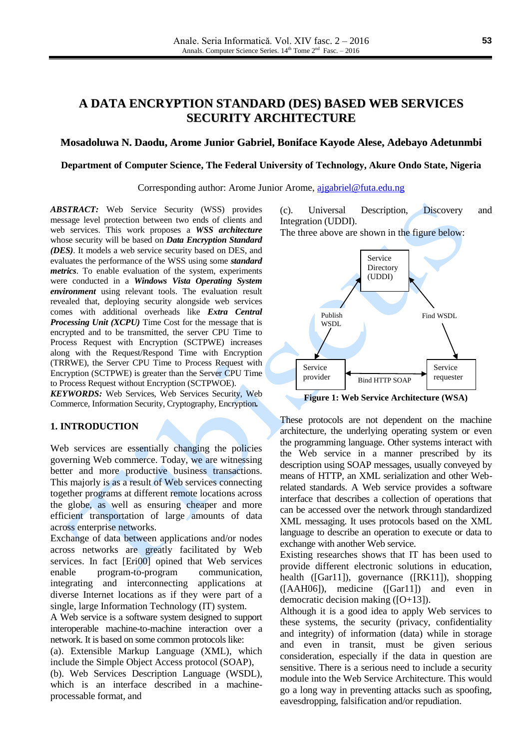# **A DATA ENCRYPTION STANDARD (DES) BASED WEB SERVICES SECURITY ARCHITECTURE**

## **Mosadoluwa N. Daodu, Arome Junior Gabriel, Boniface Kayode Alese, Adebayo Adetunmbi**

#### **Department of Computer Science, The Federal University of Technology, Akure Ondo State, Nigeria**

Corresponding author: Arome Junior Arome, [ajgabriel@futa.edu.ng](mailto:ajgabriel@futa.edu.ng)

*ABSTRACT:* Web Service Security (WSS) provides message level protection between two ends of clients and web services. This work proposes a *WSS architecture*  whose security will be based on *Data Encryption Standard (DES)*. It models a web service security based on DES, and evaluates the performance of the WSS using some *standard metrics*. To enable evaluation of the system, experiments were conducted in a *Windows Vista Operating System environment* using relevant tools. The evaluation result revealed that, deploying security alongside web services comes with additional overheads like *Extra Central Processing Unit (XCPU)* Time Cost for the message that is encrypted and to be transmitted, the server CPU Time to Process Request with Encryption (SCTPWE) increases along with the Request/Respond Time with Encryption (TRRWE), the Server CPU Time to Process Request with Encryption (SCTPWE) is greater than the Server CPU Time to Process Request without Encryption (SCTPWOE).

*KEYWORDS:* Web Services, Web Services Security, Web Commerce, Information Security, Cryptography, Encryption*.*

#### **1. INTRODUCTION**

Web services are essentially changing the policies governing Web commerce. Today, we are witnessing better and more productive business transactions. This majorly is as a result of Web services connecting together programs at different remote locations across the globe, as well as ensuring cheaper and more efficient transportation of large amounts of data across enterprise networks.

Exchange of data between applications and/or nodes across networks are greatly facilitated by Web services. In fact [Eri00] opined that Web services enable program-to-program communication, integrating and interconnecting applications at diverse Internet locations as if they were part of a single, large Information Technology (IT) system.

A Web service is a software system designed to support interoperable machine-to-machine interaction over a network. It is based on some common protocols like:

(a). Extensible Markup Language (XML), which include the Simple Object Access protocol (SOAP),

(b). Web Services Description Language (WSDL), which is an interface described in a machineprocessable format, and

(c). Universal Description, Discovery and Integration (UDDI).

The three above are shown in the figure below:



**Figure 1: Web Service Architecture (WSA)**

These protocols are not dependent on the machine architecture, the underlying operating system or even the programming language. Other systems interact with the Web service in a manner prescribed by its description using SOAP messages, usually conveyed by means of HTTP, an XML serialization and other Webrelated standards. A Web service provides a software interface that describes a collection of operations that can be accessed over the network through standardized XML messaging. It uses protocols based on the XML language to describe an operation to execute or data to exchange with another Web service.

Existing researches shows that IT has been used to provide different electronic solutions in education, health ([Gar11]), governance ([RK11]), shopping ([AAH06]), medicine ([Gar11]) and even in democratic decision making  $([O+13])$ .

Although it is a good idea to apply Web services to these systems, the security (privacy, confidentiality and integrity) of information (data) while in storage and even in transit, must be given serious consideration, especially if the data in question are sensitive. There is a serious need to include a security module into the Web Service Architecture. This would go a long way in preventing attacks such as spoofing, eavesdropping, falsification and/or repudiation.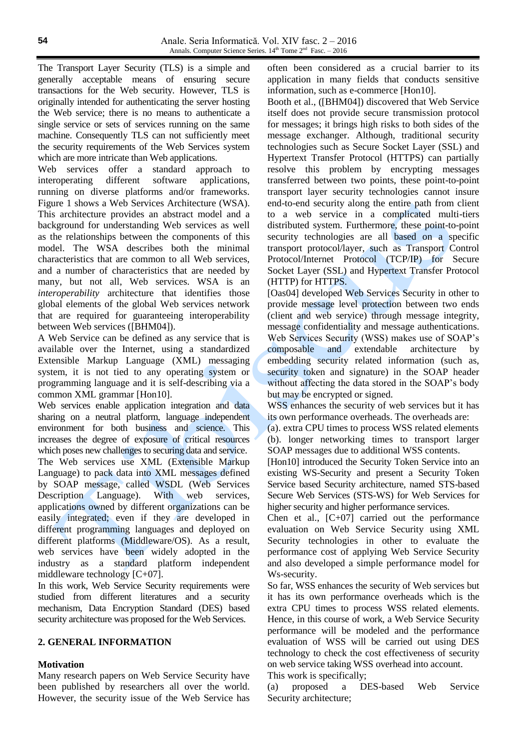The Transport Layer Security (TLS) is a simple and generally acceptable means of ensuring secure transactions for the Web security. However, TLS is originally intended for authenticating the server hosting the Web service; there is no means to authenticate a single service or sets of services running on the same machine. Consequently TLS can not sufficiently meet the security requirements of the Web Services system which are more intricate than Web applications.

Web services offer a standard approach to interoperating different software applications, running on diverse platforms and/or frameworks. Figure 1 shows a Web Services Architecture (WSA). This architecture provides an abstract model and a background for understanding Web services as well as the relationships between the components of this model. The WSA describes both the minimal characteristics that are common to all Web services, and a number of characteristics that are needed by many, but not all, Web services. WSA is an *interoperability* architecture that identifies those global elements of the global Web services network that are required for guaranteeing interoperability between Web services ([BHM04]).

A Web Service can be defined as any service that is available over the Internet, using a standardized Extensible Markup Language (XML) messaging system, it is not tied to any operating system or programming language and it is self-describing via a common XML grammar [Hon10].

Web services enable application integration and data sharing on a neutral platform, language independent environment for both business and science. This increases the degree of exposure of critical resources which poses new challenges to securing data and service. The Web services use XML (Extensible Markup Language) to pack data into XML messages defined by SOAP message, called WSDL (Web Services Description Language). With web services, applications owned by different organizations can be easily integrated; even if they are developed in different programming languages and deployed on different platforms (Middleware/OS). As a result, web services have been widely adopted in the industry as a standard platform independent middleware technology [C+07].

In this work, Web Service Security requirements were studied from different literatures and a security mechanism, Data Encryption Standard (DES) based security architecture was proposed for the Web Services.

# **2. GENERAL INFORMATION**

# **Motivation**

Many research papers on Web Service Security have been published by researchers all over the world. However, the security issue of the Web Service has often been considered as a crucial barrier to its application in many fields that conducts sensitive information, such as e-commerce [Hon10].

Booth et al., ([BHM04]) discovered that Web Service itself does not provide secure transmission protocol for messages; it brings high risks to both sides of the message exchanger. Although, traditional security technologies such as Secure Socket Layer (SSL) and Hypertext Transfer Protocol (HTTPS) can partially resolve this problem by encrypting messages transferred between two points, these point-to-point transport layer security technologies cannot insure end-to-end security along the entire path from client to a web service in a complicated multi-tiers distributed system. Furthermore, these point-to-point security technologies are all based on a specific transport protocol/layer, such as Transport Control Protocol/Internet Protocol (TCP/IP) for Secure Socket Layer (SSL) and Hypertext Transfer Protocol (HTTP) for HTTPS.

[Oas04] developed Web Services Security in other to provide message level protection between two ends (client and web service) through message integrity, message confidentiality and message authentications. Web Services Security (WSS) makes use of SOAP's composable and extendable architecture by embedding security related information (such as, security token and signature) in the SOAP header without affecting the data stored in the SOAP's body but may be encrypted or signed.

WSS enhances the security of web services but it has its own performance overheads. The overheads are:

(a). extra CPU times to process WSS related elements (b). longer networking times to transport larger SOAP messages due to additional WSS contents.

[Hon10] introduced the Security Token Service into an existing WS-Security and present a Security Token Service based Security architecture, named STS-based Secure Web Services (STS-WS) for Web Services for higher security and higher performance services.

Chen et al., [C+07] carried out the performance evaluation on Web Service Security using XML Security technologies in other to evaluate the performance cost of applying Web Service Security and also developed a simple performance model for Ws-security.

So far, WSS enhances the security of Web services but it has its own performance overheads which is the extra CPU times to process WSS related elements. Hence, in this course of work, a Web Service Security performance will be modeled and the performance evaluation of WSS will be carried out using DES technology to check the cost effectiveness of security on web service taking WSS overhead into account.

This work is specifically;

(a) proposed a DES-based Web Service Security architecture;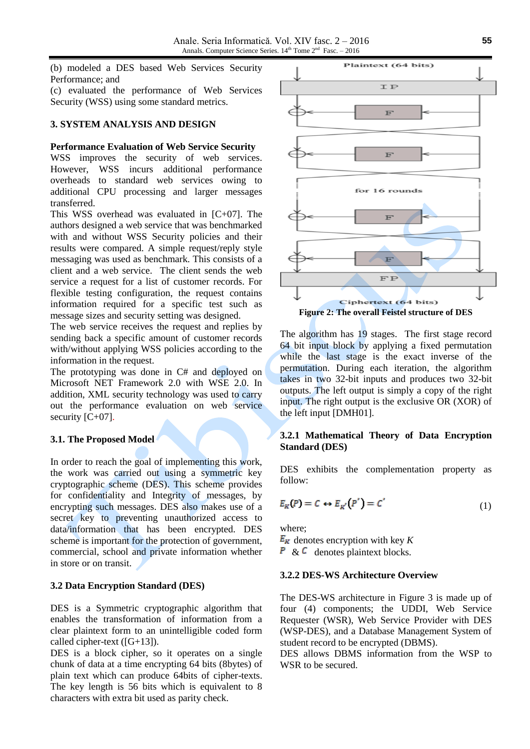(b) modeled a DES based Web Services Security Performance; and

(c) evaluated the performance of Web Services Security (WSS) using some standard metrics.

## **3. SYSTEM ANALYSIS AND DESIGN**

#### **Performance Evaluation of Web Service Security**

WSS improves the security of web services. However, WSS incurs additional performance overheads to standard web services owing to additional CPU processing and larger messages transferred.

This WSS overhead was evaluated in [C+07]. The authors designed a web service that was benchmarked with and without WSS Security policies and their results were compared. A simple request/reply style messaging was used as benchmark. This consists of a client and a web service. The client sends the web service a request for a list of customer records. For flexible testing configuration, the request contains information required for a specific test such as message sizes and security setting was designed.

The web service receives the request and replies by sending back a specific amount of customer records with/without applying WSS policies according to the information in the request.

The prototyping was done in C# and deployed on Microsoft NET Framework 2.0 with WSE 2.0. In addition, XML security technology was used to carry out the performance evaluation on web service security [C+07].

# **3.1. The Proposed Model**

In order to reach the goal of implementing this work, the work was carried out using a symmetric key cryptographic scheme (DES). This scheme provides for confidentiality and Integrity of messages, by encrypting such messages. DES also makes use of a secret key to preventing unauthorized access to data/information that has been encrypted. DES scheme is important for the protection of government, commercial, school and private information whether in store or on transit.

# **3.2 Data Encryption Standard (DES)**

DES is a Symmetric cryptographic algorithm that enables the transformation of information from a clear plaintext form to an unintelligible coded form called cipher-text ( $[G+13]$ ).

DES is a block cipher, so it operates on a single chunk of data at a time encrypting 64 bits (8bytes) of plain text which can produce 64bits of cipher-texts. The key length is 56 bits which is equivalent to 8 characters with extra bit used as parity check.



The algorithm has 19 stages. The first stage record 64 bit input block by applying a fixed permutation while the last stage is the exact inverse of the permutation. During each iteration, the algorithm takes in two 32-bit inputs and produces two 32-bit outputs. The left output is simply a copy of the right input. The right output is the exclusive OR (XOR) of the left input [DMH01].

# **3.2.1 Mathematical Theory of Data Encryption Standard (DES)**

DES exhibits the complementation property as follow:

$$
E_K(P) = C \leftrightarrow E_{K'}(P') = C'
$$
 (1)

where;

 $E_K$  denotes encryption with key K

 $\overline{P}$  &  $\overline{C}$  denotes plaintext blocks.

# **3.2.2 DES-WS Architecture Overview**

The DES-WS architecture in Figure 3 is made up of four (4) components; the UDDI, Web Service Requester (WSR), Web Service Provider with DES (WSP-DES), and a Database Management System of student record to be encrypted (DBMS).

DES allows DBMS information from the WSP to WSR to be secured.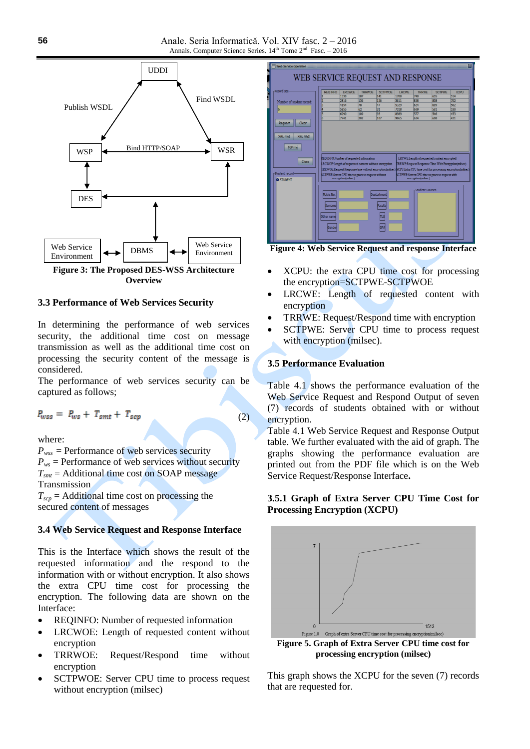

**Overview**

## **3.3 Performance of Web Services Security**

In determining the performance of web services security, the additional time cost on message transmission as well as the additional time cost on processing the security content of the message is considered.

The performance of web services security can be captured as follows;

 $P_{wss} = P_{ws} + T_{smt} + T_{scp}$ 

 $(2)$ 

where:

 $P_{wss}$  = Performance of web services security  $P_{ws}$  = Performance of web services without security  $T<sub>smt</sub>$  = Additional time cost on SOAP message Transmission

 $T_{\text{scp}}$  = Additional time cost on processing the secured content of messages

#### **3.4 Web Service Request and Response Interface**

This is the Interface which shows the result of the requested information and the respond to the information with or without encryption. It also shows the extra CPU time cost for processing the encryption. The following data are shown on the Interface:

- REQINFO: Number of requested information
- LRCWOE: Length of requested content without encryption
- TRRWOE: Request/Respond time without encryption
- SCTPWOE: Server CPU time to process request without encryption (milsec)

| <b>Web Service Operation</b>     |                                                                                                                                                 |               |                                                       |                |              |                   |                                                            | 図                                                                                                                  |  |  |  |  |  |
|----------------------------------|-------------------------------------------------------------------------------------------------------------------------------------------------|---------------|-------------------------------------------------------|----------------|--------------|-------------------|------------------------------------------------------------|--------------------------------------------------------------------------------------------------------------------|--|--|--|--|--|
| WEB SERVICE REQUEST AND RESPONSE |                                                                                                                                                 |               |                                                       |                |              |                   |                                                            |                                                                                                                    |  |  |  |  |  |
|                                  |                                                                                                                                                 |               |                                                       |                |              |                   |                                                            |                                                                                                                    |  |  |  |  |  |
| -Record size-                    | <b>REQ INFO</b>                                                                                                                                 | <b>LRCWOE</b> | <b>TRRWOE</b>                                         | <b>SCTPWOE</b> | <b>LRCWE</b> | <b>TRRWE</b>      | <b>SCTPWE</b>                                              | <b>XCPU</b>                                                                                                        |  |  |  |  |  |
|                                  |                                                                                                                                                 | 1330          | 187                                                   | 141            | 1708         | 748               | 655                                                        | 514                                                                                                                |  |  |  |  |  |
| Number of student record:        |                                                                                                                                                 | 2816          | 156                                                   | 156            | 3611         | 858               | 858                                                        | 702                                                                                                                |  |  |  |  |  |
|                                  | ā                                                                                                                                               | 4154          | 78                                                    | 47             | 5329         | 624               | 609                                                        | 562                                                                                                                |  |  |  |  |  |
| 6                                | ā                                                                                                                                               | 5855          | 62                                                    | 31             | 7518         | 609               | 561                                                        | 530                                                                                                                |  |  |  |  |  |
|                                  | 5                                                                                                                                               | 6990          | 109                                                   | 93             | 8989         | 577               | 546                                                        | 453                                                                                                                |  |  |  |  |  |
|                                  |                                                                                                                                                 | 7741          | 202                                                   | 187            | 9965         | 624               | 608                                                        | 471                                                                                                                |  |  |  |  |  |
| Clear<br>Request                 |                                                                                                                                                 |               |                                                       |                |              |                   |                                                            |                                                                                                                    |  |  |  |  |  |
|                                  |                                                                                                                                                 |               |                                                       |                |              |                   |                                                            |                                                                                                                    |  |  |  |  |  |
|                                  |                                                                                                                                                 |               |                                                       |                |              |                   |                                                            |                                                                                                                    |  |  |  |  |  |
| XMI filet<br>XMI file2           |                                                                                                                                                 |               |                                                       |                |              |                   |                                                            |                                                                                                                    |  |  |  |  |  |
|                                  |                                                                                                                                                 |               |                                                       |                |              |                   |                                                            |                                                                                                                    |  |  |  |  |  |
| <b>PDF file</b>                  |                                                                                                                                                 |               |                                                       |                |              |                   |                                                            |                                                                                                                    |  |  |  |  |  |
|                                  |                                                                                                                                                 |               |                                                       |                |              |                   |                                                            |                                                                                                                    |  |  |  |  |  |
|                                  |                                                                                                                                                 |               |                                                       |                |              |                   |                                                            |                                                                                                                    |  |  |  |  |  |
| Close                            | REQ INFO:Number of requested information<br>LRCWE Length of requested content encrypted                                                         |               |                                                       |                |              |                   |                                                            |                                                                                                                    |  |  |  |  |  |
|                                  |                                                                                                                                                 |               | LRCWOE Length of requested content without encryption |                |              |                   | <b>TRRWE:Request Response Time With Encryption(milsec)</b> |                                                                                                                    |  |  |  |  |  |
|                                  |                                                                                                                                                 |               |                                                       |                |              |                   |                                                            | TRRWOE Request Response time without encryption(milsec) KCPU:Extra CPU time cost for processing encryption(milsec) |  |  |  |  |  |
| -Student record-                 |                                                                                                                                                 |               |                                                       |                |              |                   |                                                            |                                                                                                                    |  |  |  |  |  |
| <b>B</b> STUDENT                 | SCTPWE:Server CPU time to process request without<br>SCTPWE:Server CPU time to process request with<br>encryption(milsec)<br>encryption(milsec) |               |                                                       |                |              |                   |                                                            |                                                                                                                    |  |  |  |  |  |
|                                  |                                                                                                                                                 |               |                                                       |                |              |                   |                                                            |                                                                                                                    |  |  |  |  |  |
|                                  |                                                                                                                                                 |               |                                                       |                |              |                   |                                                            |                                                                                                                    |  |  |  |  |  |
|                                  |                                                                                                                                                 |               |                                                       |                |              | -Student Courses- |                                                            |                                                                                                                    |  |  |  |  |  |
|                                  | Matric No.<br>Deotartment                                                                                                                       |               |                                                       |                |              |                   |                                                            |                                                                                                                    |  |  |  |  |  |
|                                  |                                                                                                                                                 |               |                                                       |                |              |                   |                                                            |                                                                                                                    |  |  |  |  |  |
|                                  | Sumame                                                                                                                                          |               |                                                       | Faculty        |              |                   |                                                            |                                                                                                                    |  |  |  |  |  |
|                                  |                                                                                                                                                 |               |                                                       |                |              |                   |                                                            |                                                                                                                    |  |  |  |  |  |
|                                  |                                                                                                                                                 |               |                                                       |                |              |                   |                                                            |                                                                                                                    |  |  |  |  |  |
|                                  | Other name                                                                                                                                      |               |                                                       | πı             |              |                   |                                                            |                                                                                                                    |  |  |  |  |  |
|                                  |                                                                                                                                                 |               |                                                       |                |              |                   |                                                            |                                                                                                                    |  |  |  |  |  |
|                                  | Gende                                                                                                                                           |               |                                                       |                |              |                   |                                                            |                                                                                                                    |  |  |  |  |  |
|                                  |                                                                                                                                                 |               |                                                       |                |              |                   |                                                            |                                                                                                                    |  |  |  |  |  |
|                                  |                                                                                                                                                 |               |                                                       |                |              |                   |                                                            |                                                                                                                    |  |  |  |  |  |
|                                  |                                                                                                                                                 |               |                                                       |                |              |                   |                                                            |                                                                                                                    |  |  |  |  |  |

**Figure 4: Web Service Request and response Interface**

- XCPU: the extra CPU time cost for processing the encryption=SCTPWE-SCTPWOE
- LRCWE: Length of requested content with encryption
- TRRWE: Request/Respond time with encryption
- SCTPWE: Server CPU time to process request with encryption (milsec).

## **3.5 Performance Evaluation**

Table 4.1 shows the performance evaluation of the Web Service Request and Respond Output of seven (7) records of students obtained with or without encryption.

Table 4.1 Web Service Request and Response Output table. We further evaluated with the aid of graph. The graphs showing the performance evaluation are printed out from the PDF file which is on the Web Service Request/Response Interface**.**

# **3.5.1 Graph of Extra Server CPU Time Cost for Processing Encryption (XCPU)**



**processing encryption (milsec)**

This graph shows the XCPU for the seven (7) records that are requested for.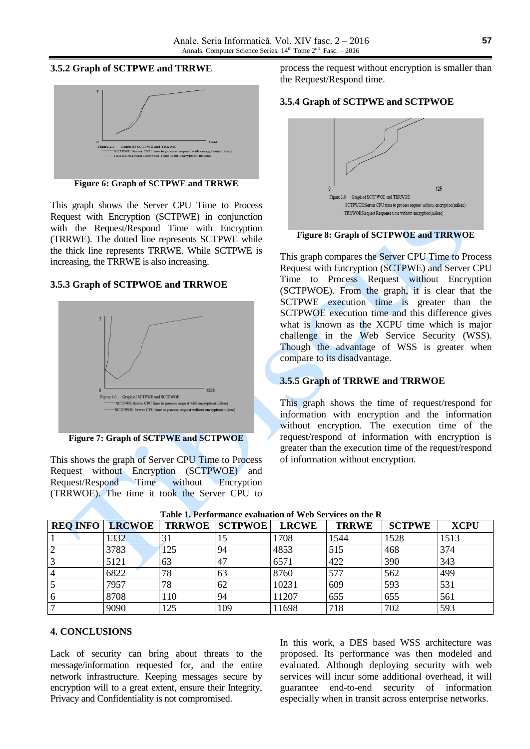## **3.5.2 Graph of SCTPWE and TRRWE**



**Figure 6: Graph of SCTPWE and TRRWE**

This graph shows the Server CPU Time to Process Request with Encryption (SCTPWE) in conjunction with the Request/Respond Time with Encryption (TRRWE). The dotted line represents SCTPWE while the thick line represents TRRWE. While SCTPWE is increasing, the TRRWE is also increasing.

# **3.5.3 Graph of SCTPWOE and TRRWOE**



**Figure 7: Graph of SCTPWE and SCTPWOE**

This shows the graph of Server CPU Time to Process Request without Encryption (SCTPWOE) and Request/Respond Time without Encryption (TRRWOE). The time it took the Server CPU to process the request without encryption is smaller than the Request/Respond time.

## **3.5.4 Graph of SCTPWE and SCTPWOE**



**Figure 8: Graph of SCTPWOE and TRRWOE**

This graph compares the Server CPU Time to Process Request with Encryption (SCTPWE) and Server CPU Time to Process Request without Encryption (SCTPWOE). From the graph, it is clear that the SCTPWE execution time is greater than the SCTPWOE execution time and this difference gives what is known as the XCPU time which is major challenge in the Web Service Security (WSS). Though the advantage of WSS is greater when compare to its disadvantage.

# **3.5.5 Graph of TRRWE and TRRWOE**

This graph shows the time of request/respond for information with encryption and the information without encryption. The execution time of the request/respond of information with encryption is greater than the execution time of the request/respond of information without encryption.

| <b>REQ INFO</b> | <b>LRCWOE</b> |     | <b>TRRWOE SCTPWOE</b> | <b>LRCWE</b> | <b>TRRWE</b> | <b>SCTPWE</b> | <b>XCPU</b> |
|-----------------|---------------|-----|-----------------------|--------------|--------------|---------------|-------------|
|                 | 1332          |     | 10                    | 1708         | 1544         | 1528          | 1513        |
|                 | 3783          | 125 | 94                    | 4853         | 515          | 468           | 374         |
|                 | 5121          | 63  | 47                    | 6571         | 422          | 390           | 343         |
| $\overline{4}$  | 6822          | 78  | 63                    | 8760         | 577          | 562           | 499         |
|                 | 7957          | 78  | 62                    | 10231        | 609          | 593           | 531         |
|                 | 8708          | 10  | 94                    | 11207        | 655          | 655           | 561         |
|                 | 9090          | 125 | 109                   | 11698        | 718          | 702           | 593         |

**Table 1. Performance evaluation of Web Services on the R**

# **4. CONCLUSIONS**

Lack of security can bring about threats to the message/information requested for, and the entire network infrastructure. Keeping messages secure by encryption will to a great extent, ensure their Integrity, Privacy and Confidentiality is not compromised.

In this work, a DES based WSS architecture was proposed. Its performance was then modeled and evaluated. Although deploying security with web services will incur some additional overhead, it will guarantee end-to-end security of information especially when in transit across enterprise networks.